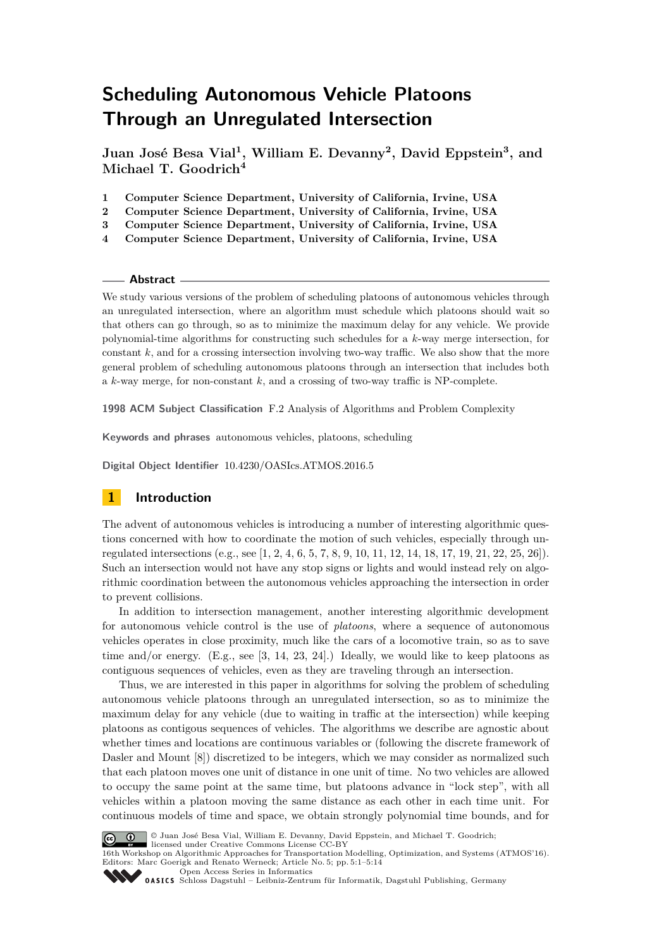# **Scheduling Autonomous Vehicle Platoons Through an Unregulated Intersection**

**Juan José Besa Vial<sup>1</sup> , William E. Devanny<sup>2</sup> , David Eppstein<sup>3</sup> , and Michael T. Goodrich<sup>4</sup>**

- **1 Computer Science Department, University of California, Irvine, USA**
- **2 Computer Science Department, University of California, Irvine, USA**
- **3 Computer Science Department, University of California, Irvine, USA**
- **4 Computer Science Department, University of California, Irvine, USA**

### **Abstract**

We study various versions of the problem of scheduling platoons of autonomous vehicles through an unregulated intersection, where an algorithm must schedule which platoons should wait so that others can go through, so as to minimize the maximum delay for any vehicle. We provide polynomial-time algorithms for constructing such schedules for a *k*-way merge intersection, for constant *k*, and for a crossing intersection involving two-way traffic. We also show that the more general problem of scheduling autonomous platoons through an intersection that includes both a *k*-way merge, for non-constant *k*, and a crossing of two-way traffic is NP-complete.

**1998 ACM Subject Classification** F.2 Analysis of Algorithms and Problem Complexity

**Keywords and phrases** autonomous vehicles, platoons, scheduling

**Digital Object Identifier** [10.4230/OASIcs.ATMOS.2016.5](http://dx.doi.org/10.4230/OASIcs.ATMOS.2016.5)

# **1 Introduction**

The advent of autonomous vehicles is introducing a number of interesting algorithmic questions concerned with how to coordinate the motion of such vehicles, especially through unregulated intersections (e.g., see [\[1,](#page-11-0) [2,](#page-11-1) [4,](#page-12-0) [6,](#page-12-1) [5,](#page-12-2) [7,](#page-12-3) [8,](#page-12-4) [9,](#page-12-5) [10,](#page-12-6) [11,](#page-12-7) [12,](#page-12-8) [14,](#page-12-9) [18,](#page-12-10) [17,](#page-12-11) [19,](#page-12-12) [21,](#page-13-0) [22,](#page-13-1) [25,](#page-13-2) [26\]](#page-13-3)). Such an intersection would not have any stop signs or lights and would instead rely on algorithmic coordination between the autonomous vehicles approaching the intersection in order to prevent collisions.

In addition to intersection management, another interesting algorithmic development for autonomous vehicle control is the use of *platoons*, where a sequence of autonomous vehicles operates in close proximity, much like the cars of a locomotive train, so as to save time and/or energy. (E.g., see [\[3,](#page-12-13) [14,](#page-12-9) [23,](#page-13-4) [24\]](#page-13-5).) Ideally, we would like to keep platoons as contiguous sequences of vehicles, even as they are traveling through an intersection.

Thus, we are interested in this paper in algorithms for solving the problem of scheduling autonomous vehicle platoons through an unregulated intersection, so as to minimize the maximum delay for any vehicle (due to waiting in traffic at the intersection) while keeping platoons as contigous sequences of vehicles. The algorithms we describe are agnostic about whether times and locations are continuous variables or (following the discrete framework of Dasler and Mount [\[8\]](#page-12-4)) discretized to be integers, which we may consider as normalized such that each platoon moves one unit of distance in one unit of time. No two vehicles are allowed to occupy the same point at the same time, but platoons advance in "lock step", with all vehicles within a platoon moving the same distance as each other in each time unit. For continuous models of time and space, we obtain strongly polynomial time bounds, and for



© Juan José Besa Vial, William E. Devanny, David Eppstein, and Michael T. Goodrich;

licensed under Creative Commons License CC-BY

16th Workshop on Algorithmic Approaches for Transportation Modelling, Optimization, and Systems (ATMOS'16). Editors: Marc Goerigk and Renato Werneck; Article No. 5; pp. 5:1–5[:14](#page-13-6) [Open Access Series in Informatics](http://www.dagstuhl.de/oasics/)

[Schloss Dagstuhl – Leibniz-Zentrum für Informatik, Dagstuhl Publishing, Germany](http://www.dagstuhl.de)<br>
1995 – Cassic Schloss Dagstuhl – Leibniz-Zentrum für Informatik, Dagstuhl Publishing, Germany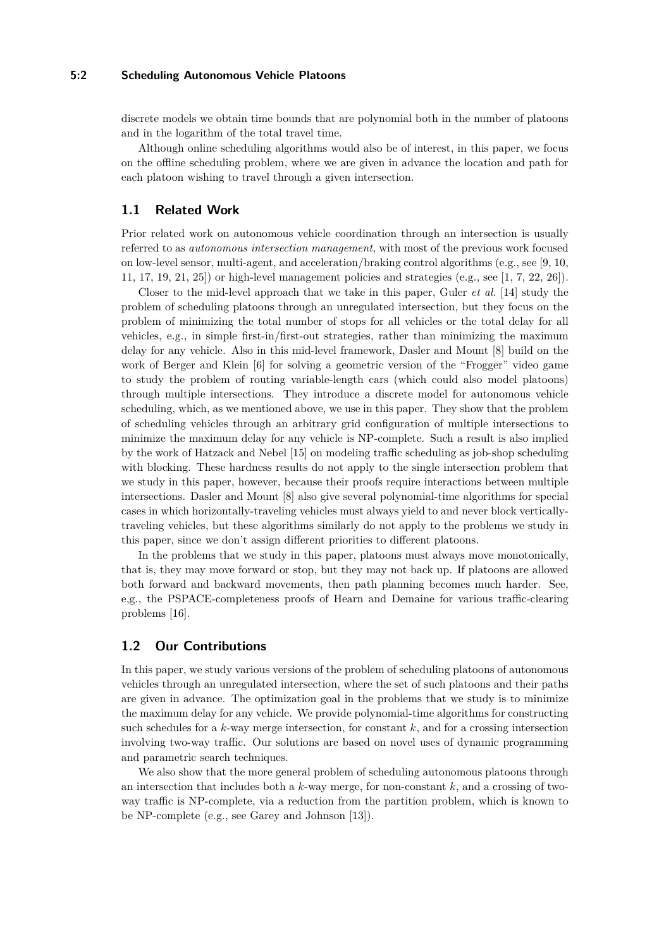### **5:2 Scheduling Autonomous Vehicle Platoons**

discrete models we obtain time bounds that are polynomial both in the number of platoons and in the logarithm of the total travel time.

Although online scheduling algorithms would also be of interest, in this paper, we focus on the offline scheduling problem, where we are given in advance the location and path for each platoon wishing to travel through a given intersection.

## **1.1 Related Work**

Prior related work on autonomous vehicle coordination through an intersection is usually referred to as *autonomous intersection management*, with most of the previous work focused on low-level sensor, multi-agent, and acceleration/braking control algorithms (e.g., see [\[9,](#page-12-5) [10,](#page-12-6) [11,](#page-12-7) [17,](#page-12-11) [19,](#page-12-12) [21,](#page-13-0) [25\]](#page-13-2)) or high-level management policies and strategies (e.g., see [\[1,](#page-11-0) [7,](#page-12-3) [22,](#page-13-1) [26\]](#page-13-3)).

Closer to the mid-level approach that we take in this paper, Guler *et al.* [\[14\]](#page-12-9) study the problem of scheduling platoons through an unregulated intersection, but they focus on the problem of minimizing the total number of stops for all vehicles or the total delay for all vehicles, e.g., in simple first-in/first-out strategies, rather than minimizing the maximum delay for any vehicle. Also in this mid-level framework, Dasler and Mount [\[8\]](#page-12-4) build on the work of Berger and Klein [\[6\]](#page-12-1) for solving a geometric version of the "Frogger" video game to study the problem of routing variable-length cars (which could also model platoons) through multiple intersections. They introduce a discrete model for autonomous vehicle scheduling, which, as we mentioned above, we use in this paper. They show that the problem of scheduling vehicles through an arbitrary grid configuration of multiple intersections to minimize the maximum delay for any vehicle is NP-complete. Such a result is also implied by the work of Hatzack and Nebel [\[15\]](#page-12-14) on modeling traffic scheduling as job-shop scheduling with blocking. These hardness results do not apply to the single intersection problem that we study in this paper, however, because their proofs require interactions between multiple intersections. Dasler and Mount [\[8\]](#page-12-4) also give several polynomial-time algorithms for special cases in which horizontally-traveling vehicles must always yield to and never block verticallytraveling vehicles, but these algorithms similarly do not apply to the problems we study in this paper, since we don't assign different priorities to different platoons.

In the problems that we study in this paper, platoons must always move monotonically, that is, they may move forward or stop, but they may not back up. If platoons are allowed both forward and backward movements, then path planning becomes much harder. See, e,g., the PSPACE-completeness proofs of Hearn and Demaine for various traffic-clearing problems [\[16\]](#page-12-15).

# **1.2 Our Contributions**

In this paper, we study various versions of the problem of scheduling platoons of autonomous vehicles through an unregulated intersection, where the set of such platoons and their paths are given in advance. The optimization goal in the problems that we study is to minimize the maximum delay for any vehicle. We provide polynomial-time algorithms for constructing such schedules for a *k*-way merge intersection, for constant *k*, and for a crossing intersection involving two-way traffic. Our solutions are based on novel uses of dynamic programming and parametric search techniques.

We also show that the more general problem of scheduling autonomous platoons through an intersection that includes both a *k*-way merge, for non-constant *k*, and a crossing of twoway traffic is NP-complete, via a reduction from the partition problem, which is known to be NP-complete (e.g., see Garey and Johnson [\[13\]](#page-12-16)).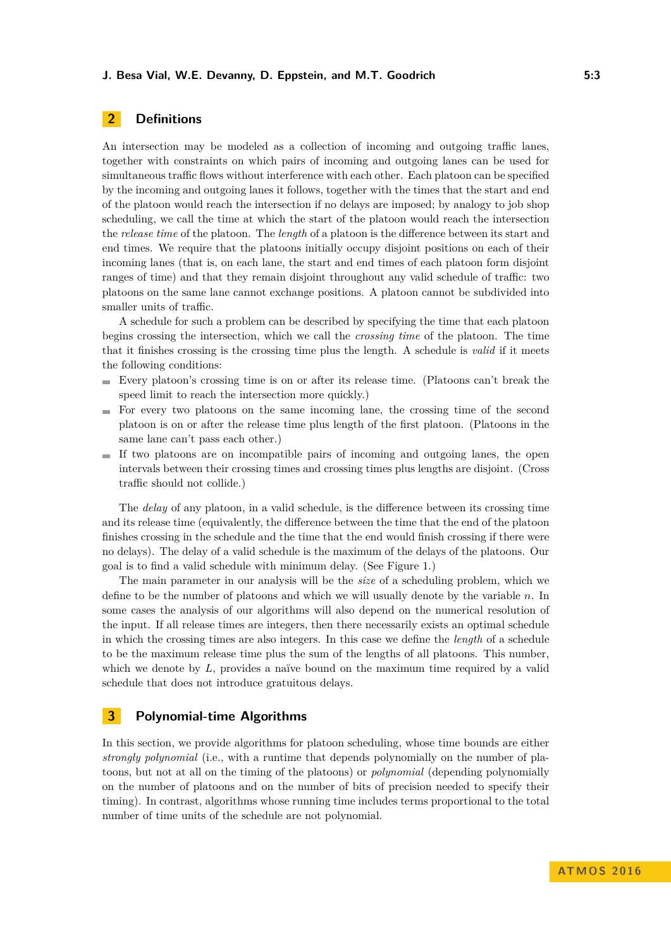# **2 Definitions**

An intersection may be modeled as a collection of incoming and outgoing traffic lanes, together with constraints on which pairs of incoming and outgoing lanes can be used for simultaneous traffic flows without interference with each other. Each platoon can be specified by the incoming and outgoing lanes it follows, together with the times that the start and end of the platoon would reach the intersection if no delays are imposed; by analogy to job shop scheduling, we call the time at which the start of the platoon would reach the intersection the *release time* of the platoon. The *length* of a platoon is the difference between its start and end times. We require that the platoons initially occupy disjoint positions on each of their incoming lanes (that is, on each lane, the start and end times of each platoon form disjoint ranges of time) and that they remain disjoint throughout any valid schedule of traffic: two platoons on the same lane cannot exchange positions. A platoon cannot be subdivided into smaller units of traffic.

A schedule for such a problem can be described by specifying the time that each platoon begins crossing the intersection, which we call the *crossing time* of the platoon. The time that it finishes crossing is the crossing time plus the length. A schedule is *valid* if it meets the following conditions:

- Every platoon's crossing time is on or after its release time. (Platoons can't break the speed limit to reach the intersection more quickly.)
- $\blacksquare$  For every two platoons on the same incoming lane, the crossing time of the second platoon is on or after the release time plus length of the first platoon. (Platoons in the same lane can't pass each other.)
- If two platoons are on incompatible pairs of incoming and outgoing lanes, the open m. intervals between their crossing times and crossing times plus lengths are disjoint. (Cross traffic should not collide.)

The *delay* of any platoon, in a valid schedule, is the difference between its crossing time and its release time (equivalently, the difference between the time that the end of the platoon finishes crossing in the schedule and the time that the end would finish crossing if there were no delays). The delay of a valid schedule is the maximum of the delays of the platoons. Our goal is to find a valid schedule with minimum delay. (See Figure [1.](#page-3-0))

The main parameter in our analysis will be the *size* of a scheduling problem, which we define to be the number of platoons and which we will usually denote by the variable *n*. In some cases the analysis of our algorithms will also depend on the numerical resolution of the input. If all release times are integers, then there necessarily exists an optimal schedule in which the crossing times are also integers. In this case we define the *length* of a schedule to be the maximum release time plus the sum of the lengths of all platoons. This number, which we denote by L, provides a naïve bound on the maximum time required by a valid schedule that does not introduce gratuitous delays.

# **3 Polynomial-time Algorithms**

In this section, we provide algorithms for platoon scheduling, whose time bounds are either *strongly polynomial* (i.e., with a runtime that depends polynomially on the number of platoons, but not at all on the timing of the platoons) or *polynomial* (depending polynomially on the number of platoons and on the number of bits of precision needed to specify their timing). In contrast, algorithms whose running time includes terms proportional to the total number of time units of the schedule are not polynomial.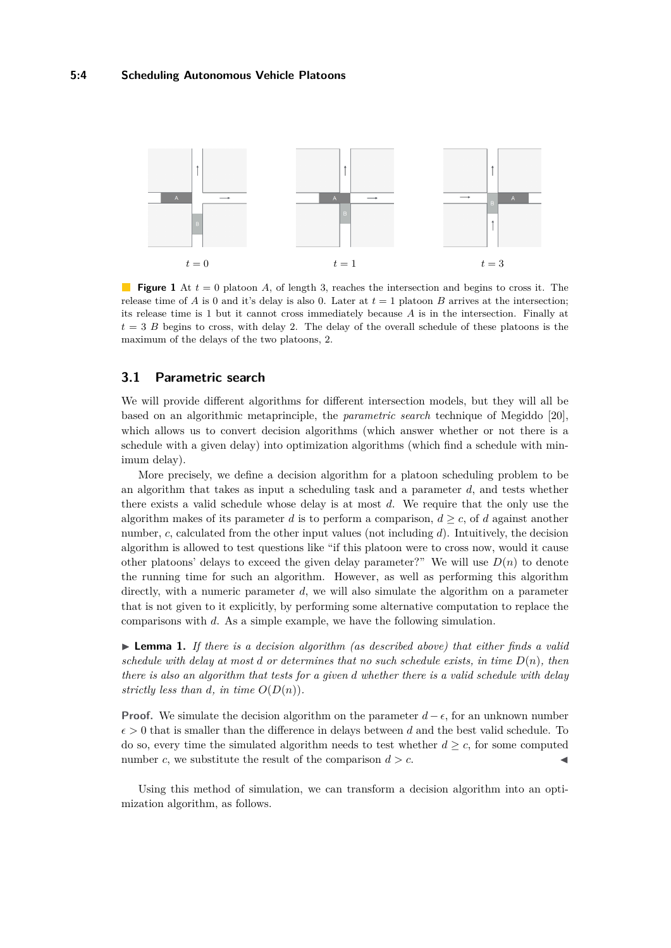<span id="page-3-0"></span>

**Figure 1** At  $t = 0$  platoon A, of length 3, reaches the intersection and begins to cross it. The release time of *A* is 0 and it's delay is also 0. Later at  $t = 1$  platoon *B* arrives at the intersection; its release time is 1 but it cannot cross immediately because *A* is in the intersection. Finally at  $t = 3 B$  begins to cross, with delay 2. The delay of the overall schedule of these platoons is the maximum of the delays of the two platoons, 2.

# **3.1 Parametric search**

We will provide different algorithms for different intersection models, but they will all be based on an algorithmic metaprinciple, the *parametric search* technique of Megiddo [\[20\]](#page-12-17), which allows us to convert decision algorithms (which answer whether or not there is a schedule with a given delay) into optimization algorithms (which find a schedule with minimum delay).

More precisely, we define a decision algorithm for a platoon scheduling problem to be an algorithm that takes as input a scheduling task and a parameter *d*, and tests whether there exists a valid schedule whose delay is at most *d*. We require that the only use the algorithm makes of its parameter *d* is to perform a comparison,  $d \geq c$ , of *d* against another number, *c*, calculated from the other input values (not including *d*). Intuitively, the decision algorithm is allowed to test questions like "if this platoon were to cross now, would it cause other platoons' delays to exceed the given delay parameter?" We will use  $D(n)$  to denote the running time for such an algorithm. However, as well as performing this algorithm directly, with a numeric parameter d, we will also simulate the algorithm on a parameter that is not given to it explicitly, by performing some alternative computation to replace the comparisons with *d*. As a simple example, we have the following simulation.

<span id="page-3-1"></span>► **Lemma 1.** *If there is a decision algorithm (as described above) that either finds a valid schedule with delay at most d or determines that no such schedule exists, in time D*(*n*)*, then there is also an algorithm that tests for a given d whether there is a valid schedule with delay strictly less than d, in time*  $O(D(n))$ *.* 

**Proof.** We simulate the decision algorithm on the parameter  $d - \epsilon$ , for an unknown number  $\epsilon > 0$  that is smaller than the difference in delays between *d* and the best valid schedule. To do so, every time the simulated algorithm needs to test whether  $d \geq c$ , for some computed number *c*, we substitute the result of the comparison  $d > c$ .

Using this method of simulation, we can transform a decision algorithm into an optimization algorithm, as follows.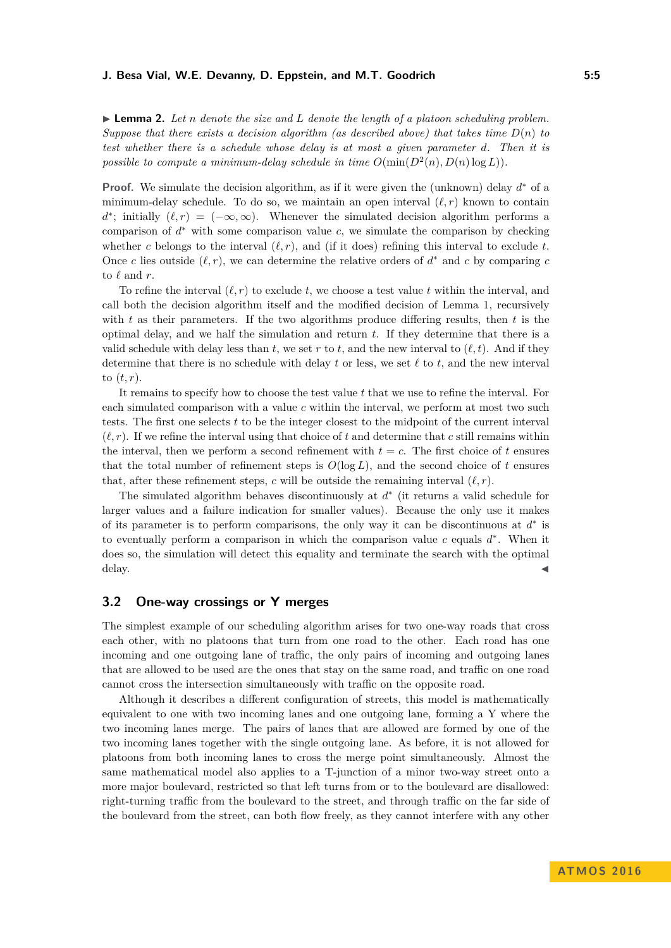<span id="page-4-0"></span> $\blacktriangleright$  **Lemma 2.** Let *n* denote the size and L denote the length of a platoon scheduling problem. *Suppose that there exists a decision algorithm (as described above) that takes time*  $D(n)$  *to test whether there is a schedule whose delay is at most a given parameter d. Then it is possible to compute a minimum-delay schedule in time*  $O(\min(D^2(n), D(n) \log L))$ .

**Proof.** We simulate the decision algorithm, as if it were given the (unknown) delay *d* <sup>∗</sup> of a minimum-delay schedule. To do so, we maintain an open interval  $(\ell, r)$  known to contain  $d^*$ ; initially  $(\ell, r) = (-\infty, \infty)$ . Whenever the simulated decision algorithm performs a comparison of  $d^*$  with some comparison value  $c$ , we simulate the comparison by checking whether *c* belongs to the interval  $(\ell, r)$ , and (if it does) refining this interval to exclude *t*. Once *c* lies outside  $(\ell, r)$ , we can determine the relative orders of  $d^*$  and *c* by comparing *c* to  $\ell$  and  $r$ .

To refine the interval  $(\ell, r)$  to exclude *t*, we choose a test value *t* within the interval, and call both the decision algorithm itself and the modified decision of Lemma [1,](#page-3-1) recursively with *t* as their parameters. If the two algorithms produce differing results, then *t* is the optimal delay, and we half the simulation and return *t*. If they determine that there is a valid schedule with delay less than  $t$ , we set  $r$  to  $t$ , and the new interval to  $(\ell, t)$ . And if they determine that there is no schedule with delay  $t$  or less, we set  $\ell$  to  $t$ , and the new interval to (*t, r*).

It remains to specify how to choose the test value *t* that we use to refine the interval. For each simulated comparison with a value *c* within the interval, we perform at most two such tests. The first one selects *t* to be the integer closest to the midpoint of the current interval  $(\ell, r)$ . If we refine the interval using that choice of *t* and determine that *c* still remains within the interval, then we perform a second refinement with  $t = c$ . The first choice of  $t$  ensures that the total number of refinement steps is  $O(\log L)$ , and the second choice of t ensures that, after these refinement steps, *c* will be outside the remaining interval  $(\ell, r)$ .

The simulated algorithm behaves discontinuously at *d* ∗ (it returns a valid schedule for larger values and a failure indication for smaller values). Because the only use it makes of its parameter is to perform comparisons, the only way it can be discontinuous at  $d^*$  is to eventually perform a comparison in which the comparison value  $c$  equals  $d^*$ . When it does so, the simulation will detect this equality and terminate the search with the optimal  $\epsilon$  delay.

# **3.2 One-way crossings or Y merges**

The simplest example of our scheduling algorithm arises for two one-way roads that cross each other, with no platoons that turn from one road to the other. Each road has one incoming and one outgoing lane of traffic, the only pairs of incoming and outgoing lanes that are allowed to be used are the ones that stay on the same road, and traffic on one road cannot cross the intersection simultaneously with traffic on the opposite road.

Although it describes a different configuration of streets, this model is mathematically equivalent to one with two incoming lanes and one outgoing lane, forming a Y where the two incoming lanes merge. The pairs of lanes that are allowed are formed by one of the two incoming lanes together with the single outgoing lane. As before, it is not allowed for platoons from both incoming lanes to cross the merge point simultaneously. Almost the same mathematical model also applies to a T-junction of a minor two-way street onto a more major boulevard, restricted so that left turns from or to the boulevard are disallowed: right-turning traffic from the boulevard to the street, and through traffic on the far side of the boulevard from the street, can both flow freely, as they cannot interfere with any other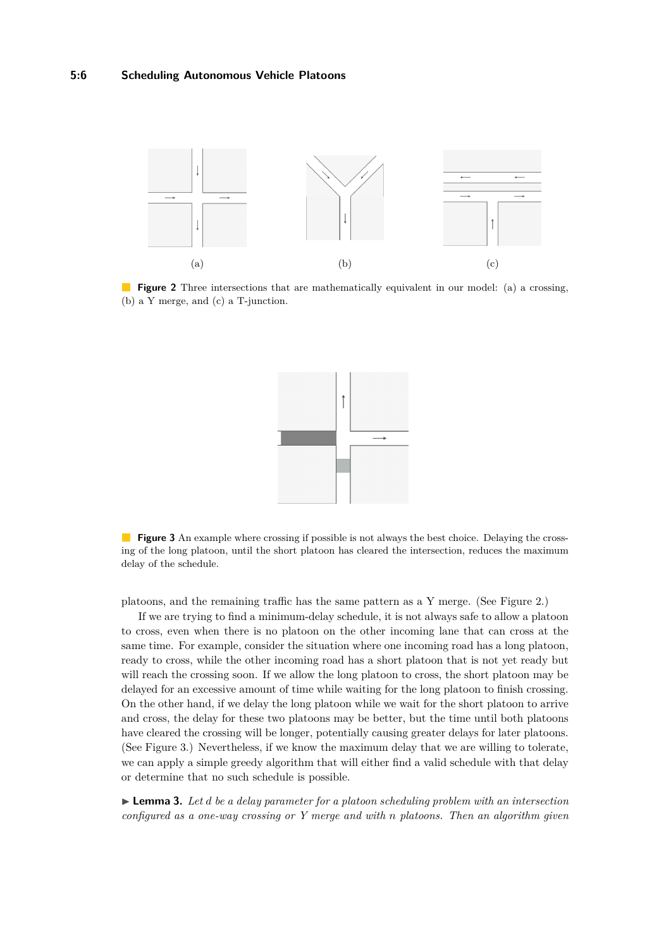<span id="page-5-0"></span>

<span id="page-5-1"></span>**Figure 2** Three intersections that are mathematically equivalent in our model: (a) a crossing, (b) a Y merge, and (c) a T-junction.



**Figure 3** An example where crossing if possible is not always the best choice. Delaying the crossing of the long platoon, until the short platoon has cleared the intersection, reduces the maximum delay of the schedule.

platoons, and the remaining traffic has the same pattern as a Y merge. (See Figure [2.](#page-5-0))

If we are trying to find a minimum-delay schedule, it is not always safe to allow a platoon to cross, even when there is no platoon on the other incoming lane that can cross at the same time. For example, consider the situation where one incoming road has a long platoon, ready to cross, while the other incoming road has a short platoon that is not yet ready but will reach the crossing soon. If we allow the long platoon to cross, the short platoon may be delayed for an excessive amount of time while waiting for the long platoon to finish crossing. On the other hand, if we delay the long platoon while we wait for the short platoon to arrive and cross, the delay for these two platoons may be better, but the time until both platoons have cleared the crossing will be longer, potentially causing greater delays for later platoons. (See Figure [3.](#page-5-1)) Nevertheless, if we know the maximum delay that we are willing to tolerate, we can apply a simple greedy algorithm that will either find a valid schedule with that delay or determine that no such schedule is possible.

<span id="page-5-2"></span>I **Lemma 3.** *Let d be a delay parameter for a platoon scheduling problem with an intersection configured as a one-way crossing or Y merge and with n platoons. Then an algorithm given*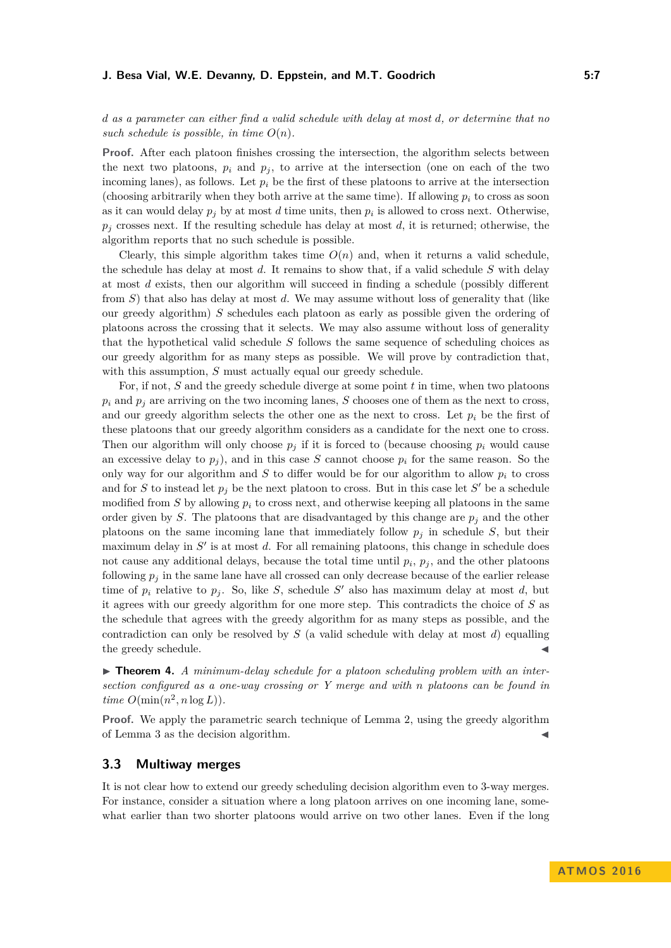*d as a parameter can either find a valid schedule with delay at most d, or determine that no* such schedule is possible, in time  $O(n)$ .

**Proof.** After each platoon finishes crossing the intersection, the algorithm selects between the next two platoons,  $p_i$  and  $p_j$ , to arrive at the intersection (one on each of the two incoming lanes), as follows. Let  $p_i$  be the first of these platoons to arrive at the intersection (choosing arbitrarily when they both arrive at the same time). If allowing  $p_i$  to cross as soon as it can would delay  $p_j$  by at most  $d$  time units, then  $p_i$  is allowed to cross next. Otherwise,  $p_j$  crosses next. If the resulting schedule has delay at most *d*, it is returned; otherwise, the algorithm reports that no such schedule is possible.

Clearly, this simple algorithm takes time  $O(n)$  and, when it returns a valid schedule, the schedule has delay at most *d*. It remains to show that, if a valid schedule *S* with delay at most *d* exists, then our algorithm will succeed in finding a schedule (possibly different from *S*) that also has delay at most *d*. We may assume without loss of generality that (like our greedy algorithm) *S* schedules each platoon as early as possible given the ordering of platoons across the crossing that it selects. We may also assume without loss of generality that the hypothetical valid schedule *S* follows the same sequence of scheduling choices as our greedy algorithm for as many steps as possible. We will prove by contradiction that, with this assumption, *S* must actually equal our greedy schedule.

For, if not, *S* and the greedy schedule diverge at some point *t* in time, when two platoons  $p_i$  and  $p_j$  are arriving on the two incoming lanes, *S* chooses one of them as the next to cross, and our greedy algorithm selects the other one as the next to cross. Let  $p_i$  be the first of these platoons that our greedy algorithm considers as a candidate for the next one to cross. Then our algorithm will only choose  $p_j$  if it is forced to (because choosing  $p_i$  would cause an excessive delay to  $p_j$ ), and in this case *S* cannot choose  $p_i$  for the same reason. So the only way for our algorithm and  $S$  to differ would be for our algorithm to allow  $p_i$  to cross and for *S* to instead let  $p_j$  be the next platoon to cross. But in this case let  $S'$  be a schedule modified from  $S$  by allowing  $p_i$  to cross next, and otherwise keeping all platoons in the same order given by *S*. The platoons that are disadvantaged by this change are  $p_j$  and the other platoons on the same incoming lane that immediately follow  $p_j$  in schedule  $S$ , but their maximum delay in  $S'$  is at most  $d$ . For all remaining platoons, this change in schedule does not cause any additional delays, because the total time until  $p_i$ ,  $p_j$ , and the other platoons following  $p_j$  in the same lane have all crossed can only decrease because of the earlier release time of  $p_i$  relative to  $p_j$ . So, like *S*, schedule *S'* also has maximum delay at most *d*, but it agrees with our greedy algorithm for one more step. This contradicts the choice of *S* as the schedule that agrees with the greedy algorithm for as many steps as possible, and the contradiction can only be resolved by *S* (a valid schedule with delay at most *d*) equalling the greedy schedule.

▶ **Theorem 4.** *A minimum-delay schedule for a platoon scheduling problem with an intersection configured as a one-way crossing or Y merge and with n platoons can be found in*  $time$   $O(\min(n^2, n \log L)).$ 

**Proof.** We apply the parametric search technique of Lemma [2,](#page-4-0) using the greedy algorithm of Lemma [3](#page-5-2) as the decision algorithm.

## **3.3 Multiway merges**

It is not clear how to extend our greedy scheduling decision algorithm even to 3-way merges. For instance, consider a situation where a long platoon arrives on one incoming lane, somewhat earlier than two shorter platoons would arrive on two other lanes. Even if the long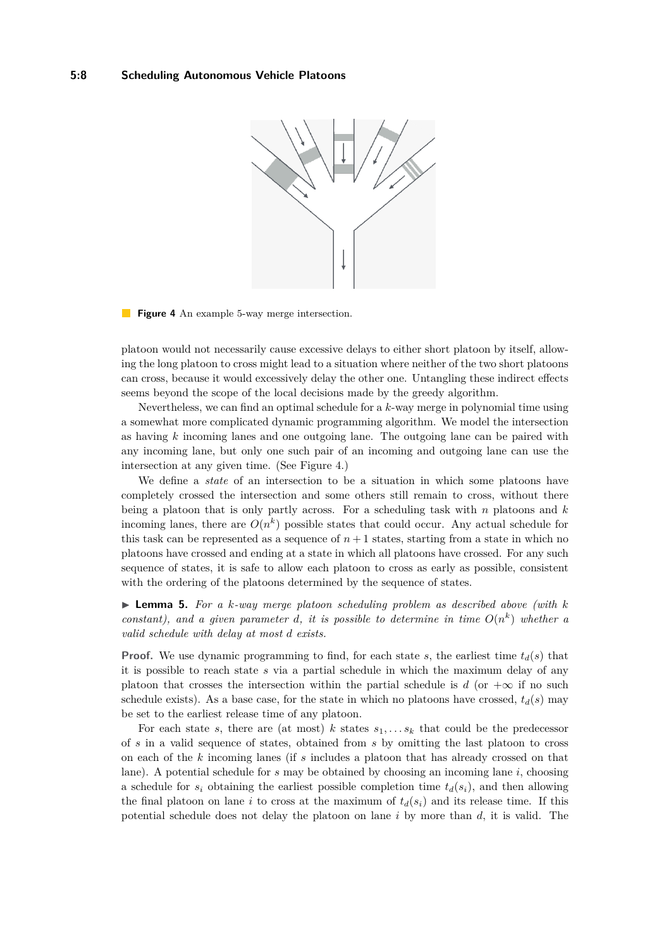<span id="page-7-0"></span>

#### **Figure 4** An example 5-way merge intersection.

platoon would not necessarily cause excessive delays to either short platoon by itself, allowing the long platoon to cross might lead to a situation where neither of the two short platoons can cross, because it would excessively delay the other one. Untangling these indirect effects seems beyond the scope of the local decisions made by the greedy algorithm.

Nevertheless, we can find an optimal schedule for a *k*-way merge in polynomial time using a somewhat more complicated dynamic programming algorithm. We model the intersection as having *k* incoming lanes and one outgoing lane. The outgoing lane can be paired with any incoming lane, but only one such pair of an incoming and outgoing lane can use the intersection at any given time. (See Figure [4.](#page-7-0))

We define a *state* of an intersection to be a situation in which some platoons have completely crossed the intersection and some others still remain to cross, without there being a platoon that is only partly across. For a scheduling task with *n* platoons and *k* incoming lanes, there are  $O(n^k)$  possible states that could occur. Any actual schedule for this task can be represented as a sequence of  $n+1$  states, starting from a state in which no platoons have crossed and ending at a state in which all platoons have crossed. For any such sequence of states, it is safe to allow each platoon to cross as early as possible, consistent with the ordering of the platoons determined by the sequence of states.

<span id="page-7-1"></span> $\triangleright$  **Lemma 5.** For a *k*-way merge platoon scheduling problem as described above (with *k constant*), and a given parameter *d*, it is possible to determine in time  $O(n^k)$  whether a *valid schedule with delay at most d exists.*

**Proof.** We use dynamic programming to find, for each state *s*, the earliest time  $t_d(s)$  that it is possible to reach state *s* via a partial schedule in which the maximum delay of any platoon that crosses the intersection within the partial schedule is *d* (or  $+\infty$  if no such schedule exists). As a base case, for the state in which no platoons have crossed,  $t_d(s)$  may be set to the earliest release time of any platoon.

For each state *s*, there are (at most) *k* states  $s_1, \ldots s_k$  that could be the predecessor of *s* in a valid sequence of states, obtained from *s* by omitting the last platoon to cross on each of the *k* incoming lanes (if *s* includes a platoon that has already crossed on that lane). A potential schedule for *s* may be obtained by choosing an incoming lane *i*, choosing a schedule for  $s_i$  obtaining the earliest possible completion time  $t_d(s_i)$ , and then allowing the final platoon on lane *i* to cross at the maximum of  $t_d(s_i)$  and its release time. If this potential schedule does not delay the platoon on lane *i* by more than *d*, it is valid. The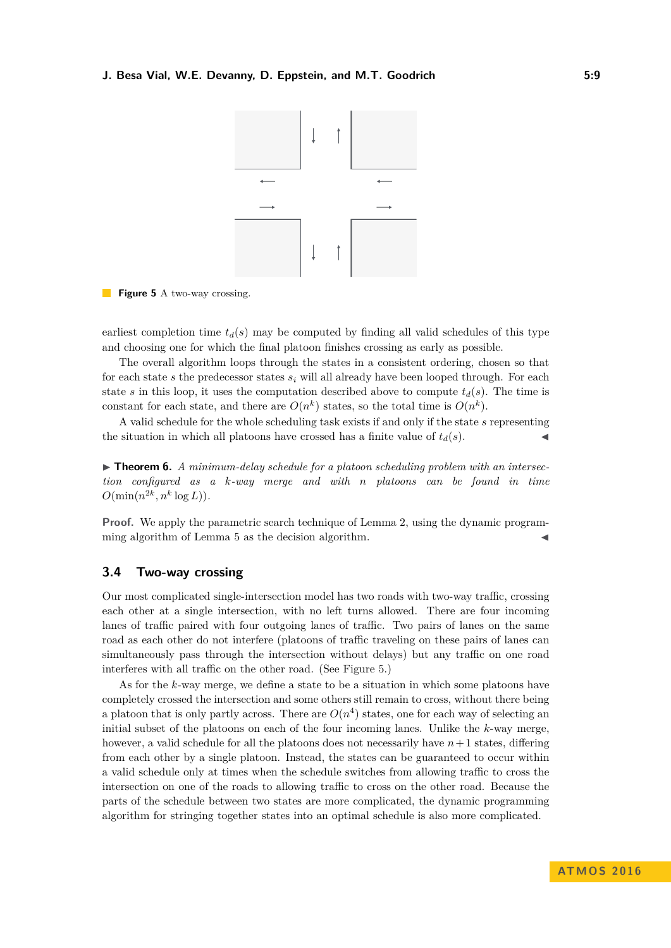<span id="page-8-0"></span>

**Figure 5** A two-way crossing.

earliest completion time  $t_d(s)$  may be computed by finding all valid schedules of this type and choosing one for which the final platoon finishes crossing as early as possible.

The overall algorithm loops through the states in a consistent ordering, chosen so that for each state  $s$  the predecessor states  $s_i$  will all already have been looped through. For each state *s* in this loop, it uses the computation described above to compute  $t_d(s)$ . The time is constant for each state, and there are  $O(n^k)$  states, so the total time is  $O(n^k)$ .

A valid schedule for the whole scheduling task exists if and only if the state *s* representing the situation in which all platoons have crossed has a finite value of  $t_d(s)$ .

**► Theorem 6.** A minimum-delay schedule for a platoon scheduling problem with an intersec*tion configured as a k-way merge and with n platoons can be found in time*  $O(\min(n^{2k}, n^k \log L)).$ 

**Proof.** We apply the parametric search technique of Lemma [2,](#page-4-0) using the dynamic program-ming algorithm of Lemma [5](#page-7-1) as the decision algorithm.

# **3.4 Two-way crossing**

Our most complicated single-intersection model has two roads with two-way traffic, crossing each other at a single intersection, with no left turns allowed. There are four incoming lanes of traffic paired with four outgoing lanes of traffic. Two pairs of lanes on the same road as each other do not interfere (platoons of traffic traveling on these pairs of lanes can simultaneously pass through the intersection without delays) but any traffic on one road interferes with all traffic on the other road. (See Figure [5.](#page-8-0))

As for the *k*-way merge, we define a state to be a situation in which some platoons have completely crossed the intersection and some others still remain to cross, without there being a platoon that is only partly across. There are  $O(n^4)$  states, one for each way of selecting an initial subset of the platoons on each of the four incoming lanes. Unlike the *k*-way merge, however, a valid schedule for all the platoons does not necessarily have *n*+ 1 states, differing from each other by a single platoon. Instead, the states can be guaranteed to occur within a valid schedule only at times when the schedule switches from allowing traffic to cross the intersection on one of the roads to allowing traffic to cross on the other road. Because the parts of the schedule between two states are more complicated, the dynamic programming algorithm for stringing together states into an optimal schedule is also more complicated.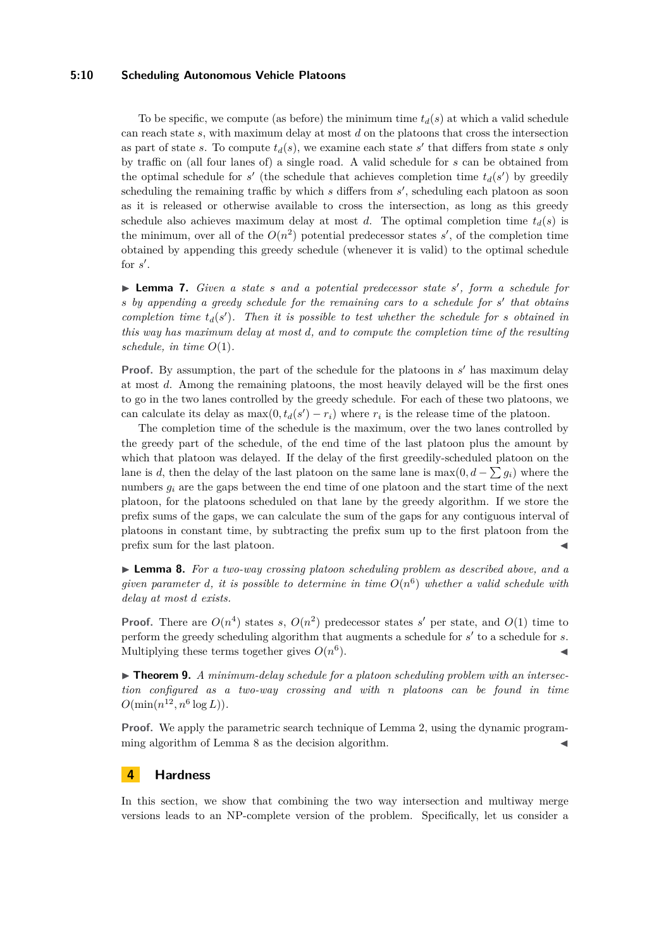#### **5:10 Scheduling Autonomous Vehicle Platoons**

To be specific, we compute (as before) the minimum time  $t_d(s)$  at which a valid schedule can reach state *s*, with maximum delay at most *d* on the platoons that cross the intersection as part of state *s*. To compute  $t_d(s)$ , we examine each state *s'* that differs from state *s* only by traffic on (all four lanes of) a single road. A valid schedule for *s* can be obtained from the optimal schedule for  $s'$  (the schedule that achieves completion time  $t_d(s')$  by greedily scheduling the remaining traffic by which *s* differs from *s'*, scheduling each platoon as soon as it is released or otherwise available to cross the intersection, as long as this greedy schedule also achieves maximum delay at most *d*. The optimal completion time  $t_d(s)$  is the minimum, over all of the  $O(n^2)$  potential predecessor states  $s'$ , of the completion time obtained by appending this greedy schedule (whenever it is valid) to the optimal schedule for  $s'$ .

▶ **Lemma 7.** *Given a state s and a potential predecessor state s'*, *form a schedule for s* by appending a greedy schedule for the remaining cars to a schedule for *s'* that obtains *completion time*  $t_d(s')$ *. Then it is possible to test whether the schedule for s obtained in this way has maximum delay at most d, and to compute the completion time of the resulting schedule, in time*  $O(1)$ *.* 

**Proof.** By assumption, the part of the schedule for the platoons in  $s'$  has maximum delay at most *d*. Among the remaining platoons, the most heavily delayed will be the first ones to go in the two lanes controlled by the greedy schedule. For each of these two platoons, we can calculate its delay as  $\max(0, t_d(s') - r_i)$  where  $r_i$  is the release time of the platoon.

The completion time of the schedule is the maximum, over the two lanes controlled by the greedy part of the schedule, of the end time of the last platoon plus the amount by which that platoon was delayed. If the delay of the first greedily-scheduled platoon on the lane is *d*, then the delay of the last platoon on the same lane is  $\max(0, d - \sum g_i)$  where the numbers  $g_i$  are the gaps between the end time of one platoon and the start time of the next platoon, for the platoons scheduled on that lane by the greedy algorithm. If we store the prefix sums of the gaps, we can calculate the sum of the gaps for any contiguous interval of platoons in constant time, by subtracting the prefix sum up to the first platoon from the prefix sum for the last platoon.

<span id="page-9-0"></span>I **Lemma 8.** *For a two-way crossing platoon scheduling problem as described above, and a given parameter d*, *it is possible to determine in time*  $O(n^6)$  *whether a valid schedule with delay at most d exists.*

**Proof.** There are  $O(n^4)$  states *s*,  $O(n^2)$  predecessor states *s'* per state, and  $O(1)$  time to perform the greedy scheduling algorithm that augments a schedule for  $s'$  to a schedule for  $s$ . Multiplying these terms together gives *O*(*n* 6  $\blacksquare$ ).

▶ **Theorem 9.** *A minimum-delay schedule for a platoon scheduling problem with an intersection configured as a two-way crossing and with n platoons can be found in time*  $O(\min(n^{12}, n^6 \log L)).$ 

**Proof.** We apply the parametric search technique of Lemma [2,](#page-4-0) using the dynamic program-ming algorithm of Lemma [8](#page-9-0) as the decision algorithm.

#### **4 Hardness**

In this section, we show that combining the two way intersection and multiway merge versions leads to an NP-complete version of the problem. Specifically, let us consider a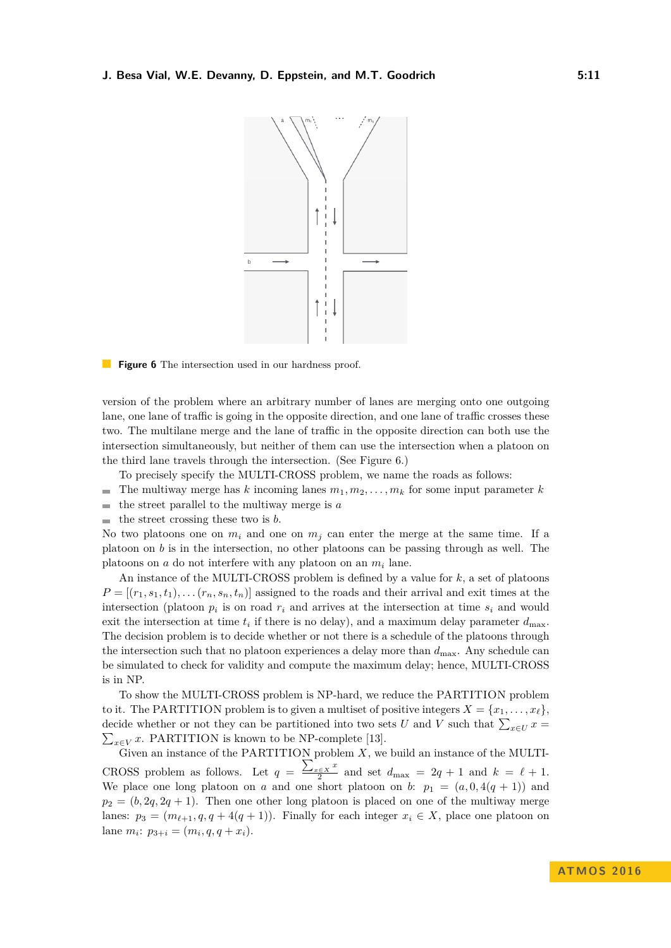<span id="page-10-0"></span>

**Figure 6** The intersection used in our hardness proof.

version of the problem where an arbitrary number of lanes are merging onto one outgoing lane, one lane of traffic is going in the opposite direction, and one lane of traffic crosses these two. The multilane merge and the lane of traffic in the opposite direction can both use the intersection simultaneously, but neither of them can use the intersection when a platoon on the third lane travels through the intersection. (See Figure [6.](#page-10-0))

To precisely specify the MULTI-CROSS problem, we name the roads as follows:

- The multiway merge has *k* incoming lanes  $m_1, m_2, \ldots, m_k$  for some input parameter *k*  $\sim$
- the street parallel to the multiway merge is *a*  $\blacksquare$
- the street crossing these two is *b*.  $\overline{\phantom{a}}$

No two platoons one on  $m_i$  and one on  $m_j$  can enter the merge at the same time. If a platoon on *b* is in the intersection, no other platoons can be passing through as well. The platoons on *a* do not interfere with any platoon on an *m<sup>i</sup>* lane.

An instance of the MULTI-CROSS problem is defined by a value for *k*, a set of platoons  $P = [(r_1, s_1, t_1), \ldots (r_n, s_n, t_n)]$  assigned to the roads and their arrival and exit times at the intersection (platoon  $p_i$  is on road  $r_i$  and arrives at the intersection at time  $s_i$  and would exit the intersection at time  $t_i$  if there is no delay), and a maximum delay parameter  $d_{\text{max}}$ . The decision problem is to decide whether or not there is a schedule of the platoons through the intersection such that no platoon experiences a delay more than *d*max. Any schedule can be simulated to check for validity and compute the maximum delay; hence, MULTI-CROSS is in NP.

To show the MULTI-CROSS problem is NP-hard, we reduce the PARTITION problem to it. The PARTITION problem is to given a multiset of positive integers  $X = \{x_1, \ldots, x_\ell\}$ , decide whether or not they can be partitioned into two sets *U* and *V* such that  $\sum_{x \in U} x =$  $\sum_{x \in V} x$ . PARTITION is known to be NP-complete [\[13\]](#page-12-16).

Given an instance of the PARTITION problem *X*, we build an instance of the MULTI-CROSS problem as follows. Let  $q = \frac{\sum_{x \in X} x}{2}$  $\frac{2}{2}e^{2x}$  and set  $d_{\text{max}} = 2q + 1$  and  $k = \ell + 1$ . We place one long platoon on *a* and one short platoon on *b*:  $p_1 = (a, 0, 4(q + 1))$  and  $p_2 = (b, 2q, 2q + 1)$ . Then one other long platoon is placed on one of the multiway merge lanes:  $p_3 = (m_{\ell+1}, q, q + 4(q + 1))$ . Finally for each integer  $x_i \in X$ , place one platoon on  $l$ ane  $m_i$ :  $p_{3+i} = (m_i, q, q + x_i)$ .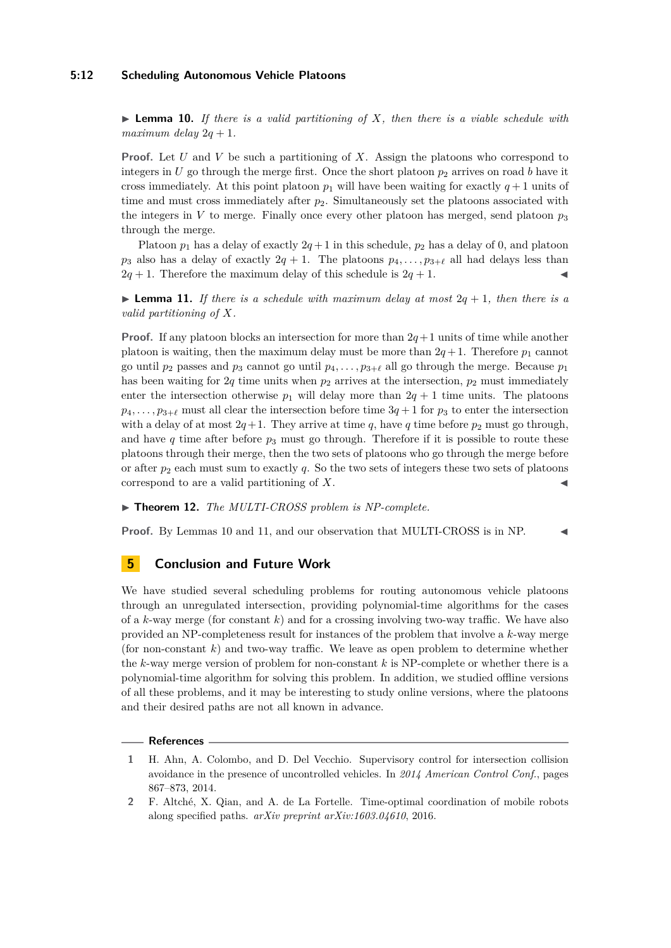#### **5:12 Scheduling Autonomous Vehicle Platoons**

<span id="page-11-2"></span>I **Lemma 10.** *If there is a valid partitioning of X, then there is a viable schedule with maximum delay*  $2q + 1$ *.* 

**Proof.** Let *U* and *V* be such a partitioning of *X*. Assign the platoons who correspond to integers in *U* go through the merge first. Once the short platoon  $p_2$  arrives on road *b* have it cross immediately. At this point platoon  $p_1$  will have been waiting for exactly  $q+1$  units of time and must cross immediately after  $p_2$ . Simultaneously set the platoons associated with the integers in  $V$  to merge. Finally once every other platoon has merged, send platoon  $p_3$ through the merge.

Platoon  $p_1$  has a delay of exactly  $2q+1$  in this schedule,  $p_2$  has a delay of 0, and platoon  $p_3$  also has a delay of exactly  $2q + 1$ . The platoons  $p_4, \ldots, p_{3+\ell}$  all had delays less than  $2q + 1$ . Therefore the maximum delay of this schedule is  $2q + 1$ .

<span id="page-11-3"></span>**I Lemma 11.** If there is a schedule with maximum delay at most  $2q + 1$ , then there is a *valid partitioning of X.*

**Proof.** If any platoon blocks an intersection for more than  $2q+1$  units of time while another platoon is waiting, then the maximum delay must be more than  $2q + 1$ . Therefore  $p_1$  cannot go until  $p_2$  passes and  $p_3$  cannot go until  $p_4, \ldots, p_{3+\ell}$  all go through the merge. Because  $p_1$ has been waiting for  $2q$  time units when  $p_2$  arrives at the intersection,  $p_2$  must immediately enter the intersection otherwise  $p_1$  will delay more than  $2q + 1$  time units. The platoons  $p_4, \ldots, p_{3+\ell}$  must all clear the intersection before time  $3q + 1$  for  $p_3$  to enter the intersection with a delay of at most  $2q+1$ . They arrive at time q, have q time before  $p_2$  must go through, and have  $q$  time after before  $p_3$  must go through. Therefore if it is possible to route these platoons through their merge, then the two sets of platoons who go through the merge before or after  $p_2$  each must sum to exactly  $q$ . So the two sets of integers these two sets of platoons correspond to are a valid partitioning of *X*. J

▶ **Theorem 12.** *The MULTI-CROSS problem is NP-complete.* 

**Proof.** By Lemmas [10](#page-11-2) and [11,](#page-11-3) and our observation that MULTI-CROSS is in NP.

# **5 Conclusion and Future Work**

We have studied several scheduling problems for routing autonomous vehicle platoons through an unregulated intersection, providing polynomial-time algorithms for the cases of a *k*-way merge (for constant *k*) and for a crossing involving two-way traffic. We have also provided an NP-completeness result for instances of the problem that involve a *k*-way merge (for non-constant *k*) and two-way traffic. We leave as open problem to determine whether the *k*-way merge version of problem for non-constant *k* is NP-complete or whether there is a polynomial-time algorithm for solving this problem. In addition, we studied offline versions of all these problems, and it may be interesting to study online versions, where the platoons and their desired paths are not all known in advance.

#### **References**

<span id="page-11-0"></span>**<sup>1</sup>** H. Ahn, A. Colombo, and D. Del Vecchio. Supervisory control for intersection collision avoidance in the presence of uncontrolled vehicles. In *2014 American Control Conf.*, pages 867–873, 2014.

<span id="page-11-1"></span>**<sup>2</sup>** F. Altché, X. Qian, and A. de La Fortelle. Time-optimal coordination of mobile robots along specified paths. *arXiv preprint arXiv:1603.04610*, 2016.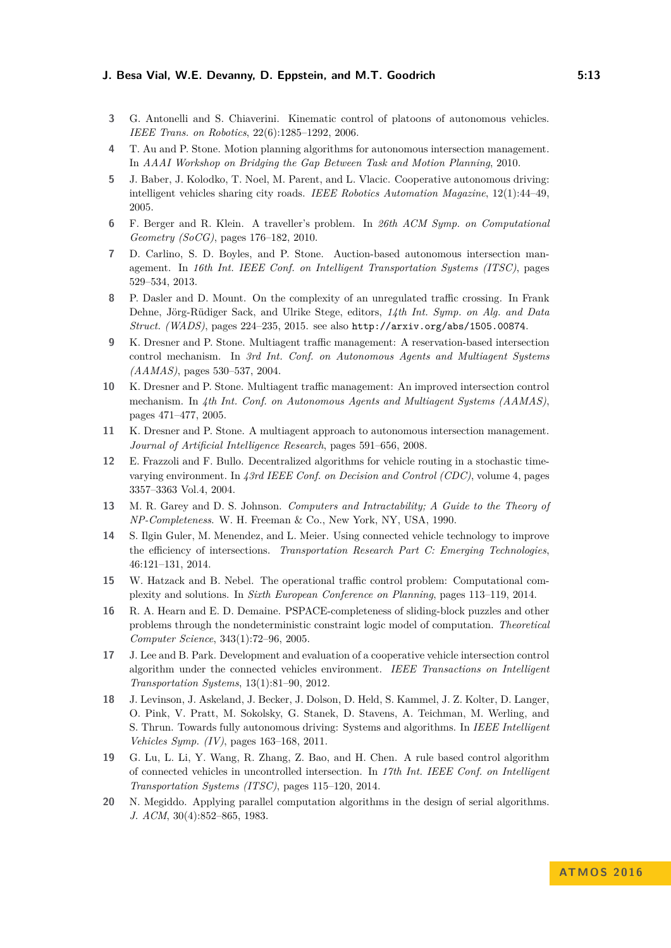- <span id="page-12-13"></span>**3** G. Antonelli and S. Chiaverini. Kinematic control of platoons of autonomous vehicles. *IEEE Trans. on Robotics*, 22(6):1285–1292, 2006.
- <span id="page-12-0"></span>**4** T. Au and P. Stone. Motion planning algorithms for autonomous intersection management. In *AAAI Workshop on Bridging the Gap Between Task and Motion Planning*, 2010.
- <span id="page-12-2"></span>**5** J. Baber, J. Kolodko, T. Noel, M. Parent, and L. Vlacic. Cooperative autonomous driving: intelligent vehicles sharing city roads. *IEEE Robotics Automation Magazine*, 12(1):44–49, 2005.
- <span id="page-12-1"></span>**6** F. Berger and R. Klein. A traveller's problem. In *26th ACM Symp. on Computational Geometry (SoCG)*, pages 176–182, 2010.
- <span id="page-12-3"></span>**7** D. Carlino, S. D. Boyles, and P. Stone. Auction-based autonomous intersection management. In *16th Int. IEEE Conf. on Intelligent Transportation Systems (ITSC)*, pages 529–534, 2013.
- <span id="page-12-4"></span>**8** P. Dasler and D. Mount. On the complexity of an unregulated traffic crossing. In Frank Dehne, Jörg-Rüdiger Sack, and Ulrike Stege, editors, *14th Int. Symp. on Alg. and Data Struct. (WADS)*, pages 224–235, 2015. see also <http://arxiv.org/abs/1505.00874>.
- <span id="page-12-5"></span>**9** K. Dresner and P. Stone. Multiagent traffic management: A reservation-based intersection control mechanism. In *3rd Int. Conf. on Autonomous Agents and Multiagent Systems (AAMAS)*, pages 530–537, 2004.
- <span id="page-12-6"></span>**10** K. Dresner and P. Stone. Multiagent traffic management: An improved intersection control mechanism. In *4th Int. Conf. on Autonomous Agents and Multiagent Systems (AAMAS)*, pages 471–477, 2005.
- <span id="page-12-7"></span>**11** K. Dresner and P. Stone. A multiagent approach to autonomous intersection management. *Journal of Artificial Intelligence Research*, pages 591–656, 2008.
- <span id="page-12-8"></span>**12** E. Frazzoli and F. Bullo. Decentralized algorithms for vehicle routing in a stochastic timevarying environment. In *43rd IEEE Conf. on Decision and Control (CDC)*, volume 4, pages 3357–3363 Vol.4, 2004.
- <span id="page-12-16"></span>**13** M. R. Garey and D. S. Johnson. *Computers and Intractability; A Guide to the Theory of NP-Completeness*. W. H. Freeman & Co., New York, NY, USA, 1990.
- <span id="page-12-9"></span>**14** S. Ilgin Guler, M. Menendez, and L. Meier. Using connected vehicle technology to improve the efficiency of intersections. *Transportation Research Part C: Emerging Technologies*, 46:121–131, 2014.
- <span id="page-12-14"></span>**15** W. Hatzack and B. Nebel. The operational traffic control problem: Computational complexity and solutions. In *Sixth European Conference on Planning*, pages 113–119, 2014.
- <span id="page-12-15"></span>**16** R. A. Hearn and E. D. Demaine. PSPACE-completeness of sliding-block puzzles and other problems through the nondeterministic constraint logic model of computation. *Theoretical Computer Science*, 343(1):72–96, 2005.
- <span id="page-12-11"></span>**17** J. Lee and B. Park. Development and evaluation of a cooperative vehicle intersection control algorithm under the connected vehicles environment. *IEEE Transactions on Intelligent Transportation Systems*, 13(1):81–90, 2012.
- <span id="page-12-10"></span>**18** J. Levinson, J. Askeland, J. Becker, J. Dolson, D. Held, S. Kammel, J. Z. Kolter, D. Langer, O. Pink, V. Pratt, M. Sokolsky, G. Stanek, D. Stavens, A. Teichman, M. Werling, and S. Thrun. Towards fully autonomous driving: Systems and algorithms. In *IEEE Intelligent Vehicles Symp. (IV)*, pages 163–168, 2011.
- <span id="page-12-12"></span>**19** G. Lu, L. Li, Y. Wang, R. Zhang, Z. Bao, and H. Chen. A rule based control algorithm of connected vehicles in uncontrolled intersection. In *17th Int. IEEE Conf. on Intelligent Transportation Systems (ITSC)*, pages 115–120, 2014.
- <span id="page-12-17"></span>**20** N. Megiddo. Applying parallel computation algorithms in the design of serial algorithms. *J. ACM*, 30(4):852–865, 1983.